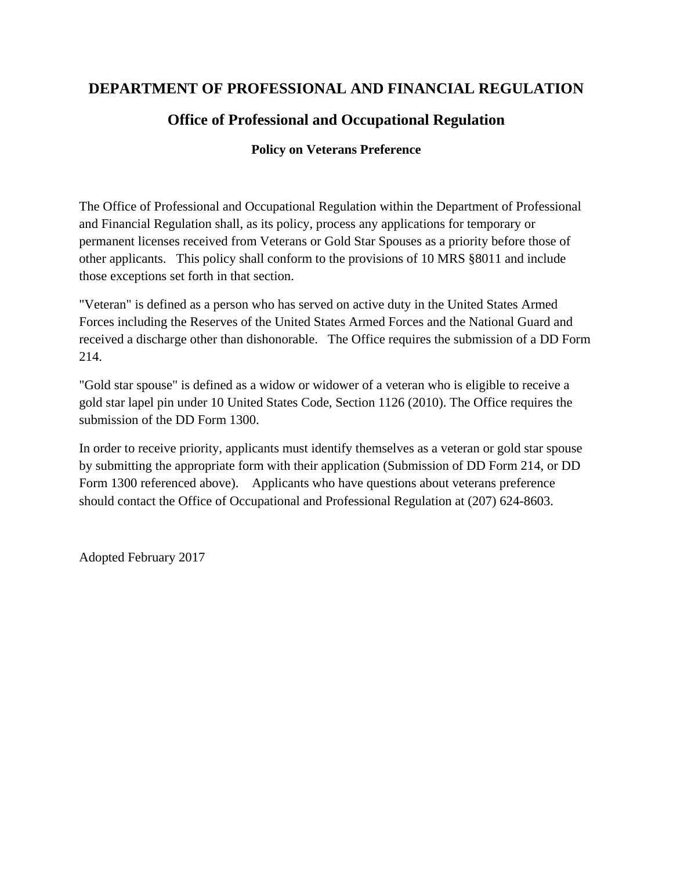### **DEPARTMENT OF PROFESSIONAL AND FINANCIAL REGULATION**

# **Office of Professional and Occupational Regulation**

### **Policy on Veterans Preference**

The Office of Professional and Occupational Regulation within the Department of Professional and Financial Regulation shall, as its policy, process any applications for temporary or permanent licenses received from Veterans or Gold Star Spouses as a priority before those of other applicants. This policy shall conform to the provisions of 10 MRS §8011 and include those exceptions set forth in that section.

"Veteran" is defined as a person who has served on active duty in the United States Armed Forces including the Reserves of the United States Armed Forces and the National Guard and received a discharge other than dishonorable. The Office requires the submission of a DD Form 214.

"Gold star spouse" is defined as a widow or widower of a veteran who is eligible to receive a gold star lapel pin under 10 United States Code, Section 1126 (2010). The Office requires the submission of the DD Form 1300.

In order to receive priority, applicants must identify themselves as a veteran or gold star spouse by submitting the appropriate form with their application (Submission of DD Form 214, or DD Form 1300 referenced above). Applicants who have questions about veterans preference should contact the Office of Occupational and Professional Regulation at (207) 624-8603.

Adopted February 2017